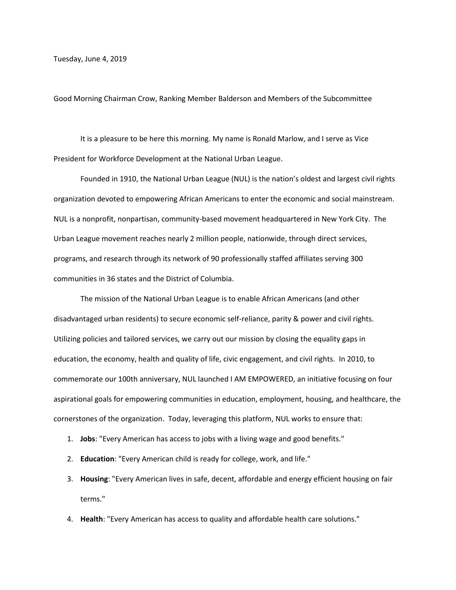Tuesday, June 4, 2019

Good Morning Chairman Crow, Ranking Member Balderson and Members of the Subcommittee

It is a pleasure to be here this morning. My name is Ronald Marlow, and I serve as Vice President for Workforce Development at the National Urban League.

Founded in 1910, the National Urban League (NUL) is the nation's oldest and largest civil rights organization devoted to empowering African Americans to enter the economic and social mainstream. NUL is a nonprofit, nonpartisan, community-based movement headquartered in New York City. The Urban League movement reaches nearly 2 million people, nationwide, through direct services, programs, and research through its network of 90 professionally staffed affiliates serving 300 communities in 36 states and the District of Columbia.

The mission of the National Urban League is to enable African Americans (and other disadvantaged urban residents) to secure economic self-reliance, parity & power and civil rights. Utilizing policies and tailored services, we carry out our mission by closing the equality gaps in education, the economy, health and quality of life, civic engagement, and civil rights. In 2010, to commemorate our 100th anniversary, NUL launched I AM EMPOWERED, an initiative focusing on four aspirational goals for empowering communities in education, employment, housing, and healthcare, the cornerstones of the organization. Today, leveraging this platform, NUL works to ensure that:

- 1. **Jobs**: "Every American has access to jobs with a living wage and good benefits."
- 2. **Education**: "Every American child is ready for college, work, and life."
- 3. **Housing**: "Every American lives in safe, decent, affordable and energy efficient housing on fair terms."
- 4. **Health**: "Every American has access to quality and affordable health care solutions."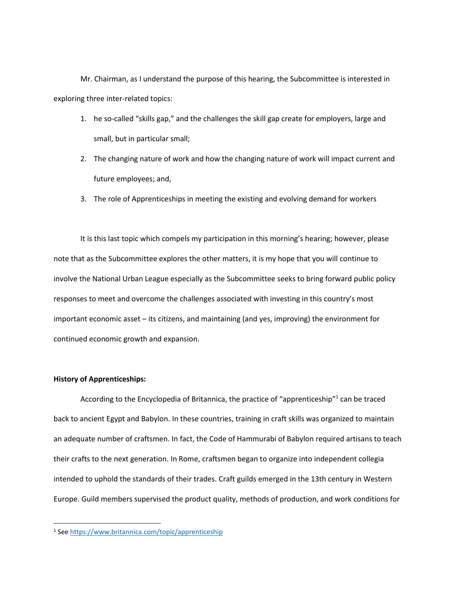Mr. Chairman, as I understand the purpose of this hearing, the Subcommittee is interested in exploring three inter-related topics:

- 1. he so-called "skills gap," and the challenges the skill gap create for employers, large and small, but in particular small;
- 2. The changing nature of work and how the changing nature of work will impact current and future employees; and,
- 3. The role of Apprenticeships in meeting the existing and evolving demand for workers

It is this last topic which compels my participation in this morning's hearing; however, please note that as the Subcommittee explores the other matters, it is my hope that you will continue to involve the National Urban League especially as the Subcommittee seeks to bring forward public policy responses to meet and overcome the challenges associated with investing in this country's most important economic asset – its citizens, and maintaining (and yes, improving) the environment for continued economic growth and expansion.

## **History of Apprenticeships:**

 $\overline{\phantom{a}}$ 

According to the Encyclopedia of Britannica, the practice of "apprenticeship"<sup>1</sup> can be traced back to ancient Egypt and Babylon. In these countries, training in craft skills was organized to maintain an adequate number of craftsmen. In fact, the Code of Hammurabi of Babylon required artisans to teach their crafts to the next generation. In Rome, craftsmen began to organize into independent collegia intended to uphold the standards of their trades. Craft guilds emerged in the 13th century in Western Europe. Guild members supervised the product quality, methods of production, and work conditions for

<sup>&</sup>lt;sup>1</sup> See<https://www.britannica.com/topic/apprenticeship>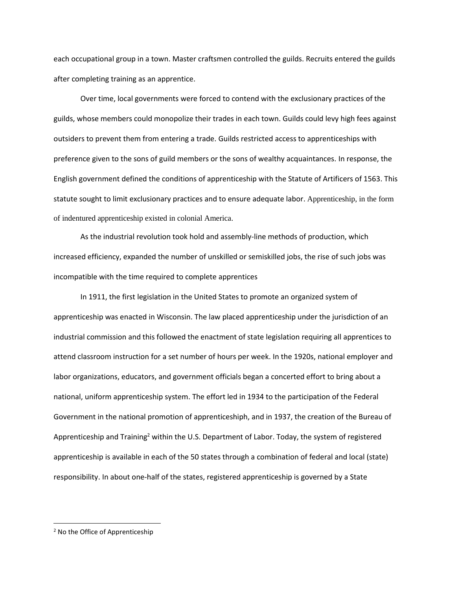each occupational group in a town. Master craftsmen controlled the guilds. Recruits entered the guilds after completing training as an apprentice.

Over time, local governments were forced to contend with the exclusionary practices of the guilds, whose members could monopolize their trades in each town. Guilds could levy high fees against outsiders to prevent them from entering a trade. Guilds restricted access to apprenticeships with preference given to the sons of guild members or the sons of wealthy acquaintances. In response, the English government defined the conditions of apprenticeship with the Statute of Artificers of 1563. This statute sought to limit exclusionary practices and to ensure adequate labor. Apprenticeship, in the form of indentured apprenticeship existed in colonial America.

As the industrial revolution took hold and assembly-line methods of production, which increased efficiency, expanded the number of unskilled or semiskilled jobs, the rise of such jobs was incompatible with the time required to complete apprentices

In 1911, the first legislation in the United States to promote an organized system of apprenticeship was enacted in Wisconsin. The law placed apprenticeship under the jurisdiction of an industrial commission and this followed the enactment of state legislation requiring all apprentices to attend classroom instruction for a set number of hours per week. In the 1920s, national employer and labor organizations, educators, and government officials began a concerted effort to bring about a national, uniform apprenticeship system. The effort led in 1934 to the participation of the Federal Government in the national promotion of apprenticeshiph, and in 1937, the creation of the Bureau of Apprenticeship and Training<sup>2</sup> within the U.S. Department of Labor. Today, the system of registered apprenticeship is available in each of the 50 states through a combination of federal and local (state) responsibility. In about one-half of the states, registered apprenticeship is governed by a State

 $\overline{\phantom{a}}$ 

<sup>2</sup> No the Office of Apprenticeship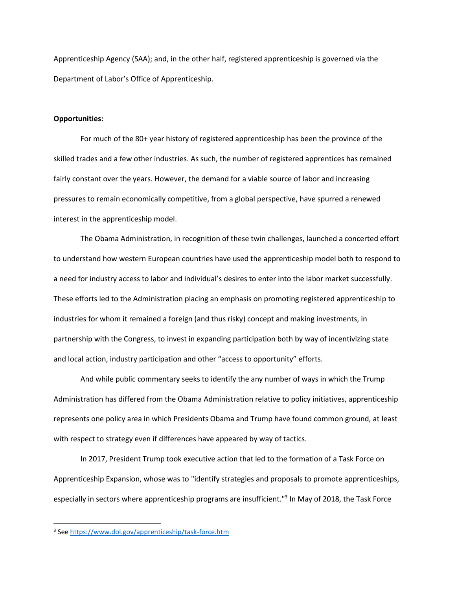Apprenticeship Agency (SAA); and, in the other half, registered apprenticeship is governed via the Department of Labor's Office of Apprenticeship.

### **Opportunities:**

For much of the 80+ year history of registered apprenticeship has been the province of the skilled trades and a few other industries. As such, the number of registered apprentices has remained fairly constant over the years. However, the demand for a viable source of labor and increasing pressures to remain economically competitive, from a global perspective, have spurred a renewed interest in the apprenticeship model.

The Obama Administration, in recognition of these twin challenges, launched a concerted effort to understand how western European countries have used the apprenticeship model both to respond to a need for industry access to labor and individual's desires to enter into the labor market successfully. These efforts led to the Administration placing an emphasis on promoting registered apprenticeship to industries for whom it remained a foreign (and thus risky) concept and making investments, in partnership with the Congress, to invest in expanding participation both by way of incentivizing state and local action, industry participation and other "access to opportunity" efforts.

And while public commentary seeks to identify the any number of ways in which the Trump Administration has differed from the Obama Administration relative to policy initiatives, apprenticeship represents one policy area in which Presidents Obama and Trump have found common ground, at least with respect to strategy even if differences have appeared by way of tactics.

In 2017, President Trump took executive action that led to the formation of a Task Force on Apprenticeship Expansion, whose was to "identify strategies and proposals to promote apprenticeships, especially in sectors where apprenticeship programs are insufficient."<sup>3</sup> In May of 2018, the Task Force

 $\overline{\phantom{a}}$ 

<sup>&</sup>lt;sup>3</sup> See<https://www.dol.gov/apprenticeship/task-force.htm>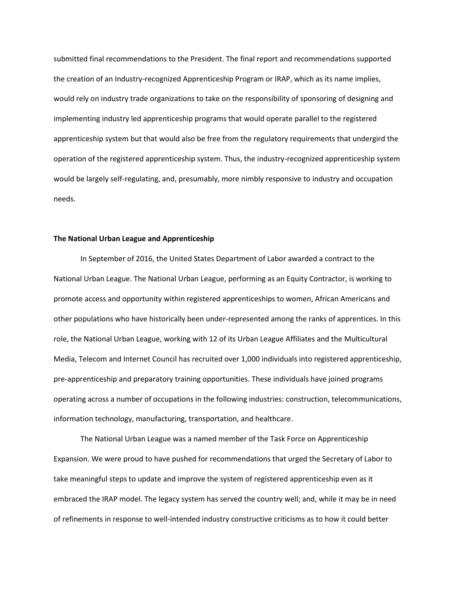submitted final recommendations to the President. The final report and recommendations supported the creation of an Industry-recognized Apprenticeship Program or IRAP, which as its name implies, would rely on industry trade organizations to take on the responsibility of sponsoring of designing and implementing industry led apprenticeship programs that would operate parallel to the registered apprenticeship system but that would also be free from the regulatory requirements that undergird the operation of the registered apprenticeship system. Thus, the industry-recognized apprenticeship system would be largely self-regulating, and, presumably, more nimbly responsive to industry and occupation needs.

### **The National Urban League and Apprenticeship**

In September of 2016, the United States Department of Labor awarded a contract to the National Urban League. The National Urban League, performing as an Equity Contractor, is working to promote access and opportunity within registered apprenticeships to women, African Americans and other populations who have historically been under-represented among the ranks of apprentices. In this role, the National Urban League, working with 12 of its Urban League Affiliates and the Multicultural Media, Telecom and Internet Council has recruited over 1,000 individuals into registered apprenticeship, pre-apprenticeship and preparatory training opportunities. These individuals have joined programs operating across a number of occupations in the following industries: construction, telecommunications, information technology, manufacturing, transportation, and healthcare.

The National Urban League was a named member of the Task Force on Apprenticeship Expansion. We were proud to have pushed for recommendations that urged the Secretary of Labor to take meaningful steps to update and improve the system of registered apprenticeship even as it embraced the IRAP model. The legacy system has served the country well; and, while it may be in need of refinements in response to well-intended industry constructive criticisms as to how it could better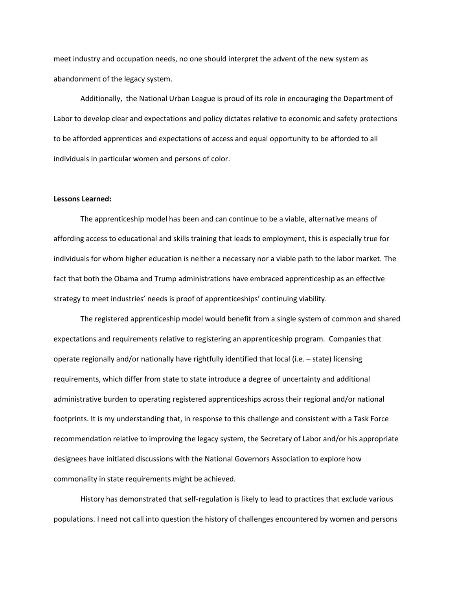meet industry and occupation needs, no one should interpret the advent of the new system as abandonment of the legacy system.

Additionally, the National Urban League is proud of its role in encouraging the Department of Labor to develop clear and expectations and policy dictates relative to economic and safety protections to be afforded apprentices and expectations of access and equal opportunity to be afforded to all individuals in particular women and persons of color.

### **Lessons Learned:**

The apprenticeship model has been and can continue to be a viable, alternative means of affording access to educational and skills training that leads to employment, this is especially true for individuals for whom higher education is neither a necessary nor a viable path to the labor market. The fact that both the Obama and Trump administrations have embraced apprenticeship as an effective strategy to meet industries' needs is proof of apprenticeships' continuing viability.

The registered apprenticeship model would benefit from a single system of common and shared expectations and requirements relative to registering an apprenticeship program. Companies that operate regionally and/or nationally have rightfully identified that local (i.e. – state) licensing requirements, which differ from state to state introduce a degree of uncertainty and additional administrative burden to operating registered apprenticeships across their regional and/or national footprints. It is my understanding that, in response to this challenge and consistent with a Task Force recommendation relative to improving the legacy system, the Secretary of Labor and/or his appropriate designees have initiated discussions with the National Governors Association to explore how commonality in state requirements might be achieved.

History has demonstrated that self-regulation is likely to lead to practices that exclude various populations. I need not call into question the history of challenges encountered by women and persons